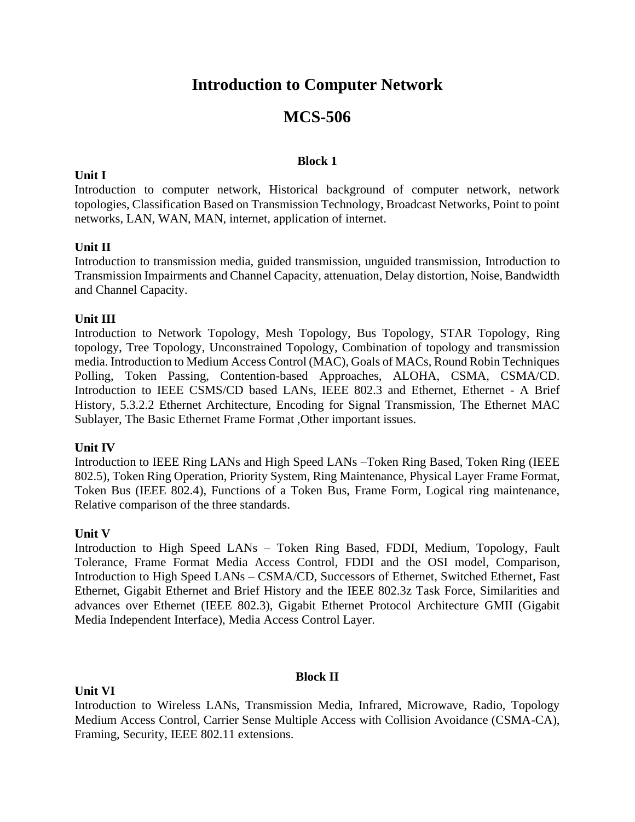# **Introduction to Computer Network**

# **MCS-506**

### **Block 1**

#### **Unit I**

Introduction to computer network, Historical background of computer network, network topologies, Classification Based on Transmission Technology, Broadcast Networks, Point to point networks, LAN, WAN, MAN, internet, application of internet.

# **Unit II**

Introduction to transmission media, guided transmission, unguided transmission, Introduction to Transmission Impairments and Channel Capacity, attenuation, Delay distortion, Noise, Bandwidth and Channel Capacity.

### **Unit III**

Introduction to Network Topology, Mesh Topology, Bus Topology, STAR Topology, Ring topology, Tree Topology, Unconstrained Topology, Combination of topology and transmission media. Introduction to Medium Access Control (MAC), Goals of MACs, Round Robin Techniques Polling, Token Passing, Contention-based Approaches, ALOHA, CSMA, CSMA/CD. Introduction to IEEE CSMS/CD based LANs, IEEE 802.3 and Ethernet, Ethernet - A Brief History, 5.3.2.2 Ethernet Architecture, Encoding for Signal Transmission, The Ethernet MAC Sublayer, The Basic Ethernet Frame Format ,Other important issues.

### **Unit IV**

Introduction to IEEE Ring LANs and High Speed LANs –Token Ring Based, Token Ring (IEEE 802.5), Token Ring Operation, Priority System, Ring Maintenance, Physical Layer Frame Format, Token Bus (IEEE 802.4), Functions of a Token Bus, Frame Form, Logical ring maintenance, Relative comparison of the three standards.

### **Unit V**

Introduction to High Speed LANs – Token Ring Based, FDDI, Medium, Topology, Fault Tolerance, Frame Format Media Access Control, FDDI and the OSI model, Comparison, Introduction to High Speed LANs – CSMA/CD, Successors of Ethernet, Switched Ethernet, Fast Ethernet, Gigabit Ethernet and Brief History and the IEEE 802.3z Task Force, Similarities and advances over Ethernet (IEEE 802.3), Gigabit Ethernet Protocol Architecture GMII (Gigabit Media Independent Interface), Media Access Control Layer.

# **Unit VI**

# **Block II**

Introduction to Wireless LANs, Transmission Media, Infrared, Microwave, Radio, Topology Medium Access Control, Carrier Sense Multiple Access with Collision Avoidance (CSMA-CA), Framing, Security, IEEE 802.11 extensions.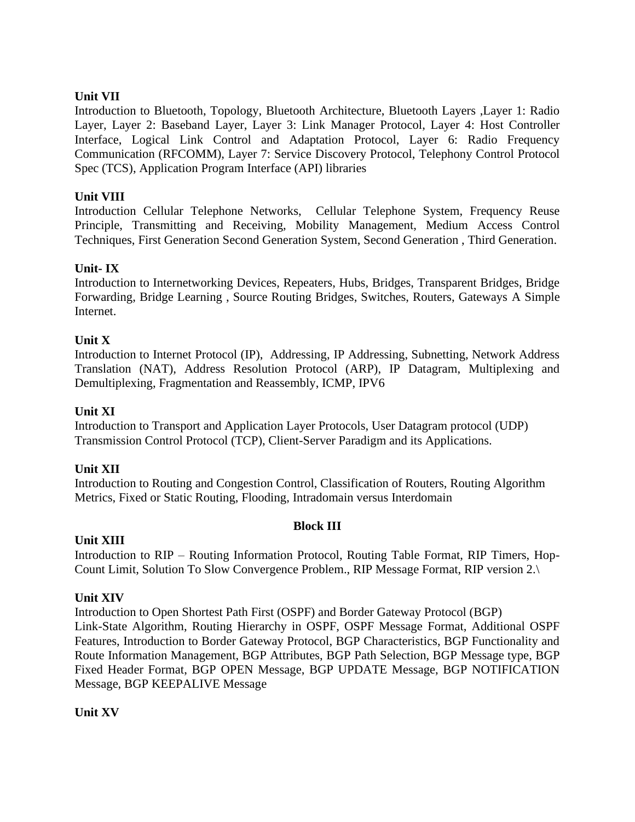# **Unit VII**

Introduction to Bluetooth, Topology, Bluetooth Architecture, Bluetooth Layers ,Layer 1: Radio Layer, Layer 2: Baseband Layer, Layer 3: Link Manager Protocol, Layer 4: Host Controller Interface, Logical Link Control and Adaptation Protocol, Layer 6: Radio Frequency Communication (RFCOMM), Layer 7: Service Discovery Protocol, Telephony Control Protocol Spec (TCS), Application Program Interface (API) libraries

# **Unit VIII**

Introduction Cellular Telephone Networks, Cellular Telephone System, Frequency Reuse Principle, Transmitting and Receiving, Mobility Management, Medium Access Control Techniques, First Generation Second Generation System, Second Generation , Third Generation.

# **Unit- IX**

Introduction to Internetworking Devices, Repeaters, Hubs, Bridges, Transparent Bridges, Bridge Forwarding, Bridge Learning , Source Routing Bridges, Switches, Routers, Gateways A Simple Internet.

# **Unit X**

Introduction to Internet Protocol (IP), Addressing, IP Addressing, Subnetting, Network Address Translation (NAT), Address Resolution Protocol (ARP), IP Datagram, Multiplexing and Demultiplexing, Fragmentation and Reassembly, ICMP, IPV6

### **Unit XI**

Introduction to Transport and Application Layer Protocols, User Datagram protocol (UDP) Transmission Control Protocol (TCP), Client-Server Paradigm and its Applications.

### **Unit XII**

Introduction to Routing and Congestion Control, Classification of Routers, Routing Algorithm Metrics, Fixed or Static Routing, Flooding, Intradomain versus Interdomain

### **Block III**

#### **Unit XIII**

Introduction to RIP – Routing Information Protocol, Routing Table Format, RIP Timers, Hop-Count Limit, Solution To Slow Convergence Problem., RIP Message Format, RIP version 2.\

### **Unit XIV**

Introduction to Open Shortest Path First (OSPF) and Border Gateway Protocol (BGP) Link-State Algorithm, Routing Hierarchy in OSPF, OSPF Message Format, Additional OSPF Features, Introduction to Border Gateway Protocol, BGP Characteristics, BGP Functionality and Route Information Management, BGP Attributes, BGP Path Selection, BGP Message type, BGP Fixed Header Format, BGP OPEN Message, BGP UPDATE Message, BGP NOTIFICATION Message, BGP KEEPALIVE Message

### **Unit XV**